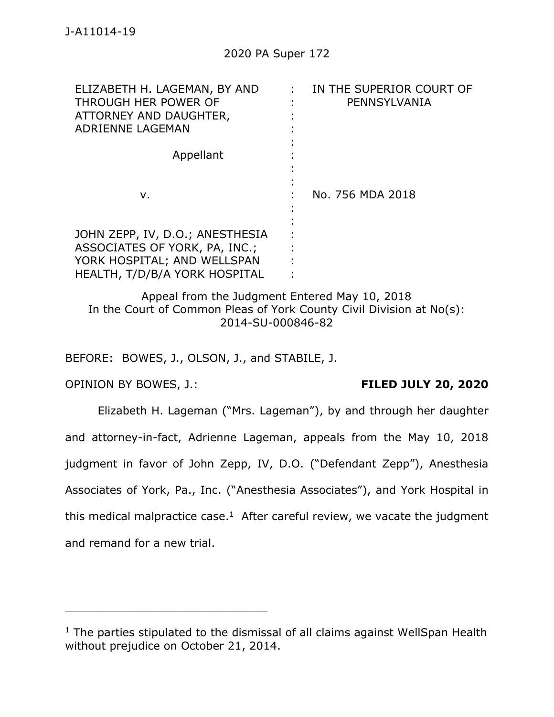| ELIZABETH H. LAGEMAN, BY AND<br>THROUGH HER POWER OF<br>ATTORNEY AND DAUGHTER,<br>ADRIENNE LAGEMAN                               | IN THE SUPERIOR COURT OF<br>PENNSYLVANIA |
|----------------------------------------------------------------------------------------------------------------------------------|------------------------------------------|
| Appellant                                                                                                                        |                                          |
| v.                                                                                                                               | No. 756 MDA 2018                         |
| JOHN ZEPP, IV, D.O.; ANESTHESIA<br>ASSOCIATES OF YORK, PA, INC.;<br>YORK HOSPITAL; AND WELLSPAN<br>HEALTH, T/D/B/A YORK HOSPITAL |                                          |

Appeal from the Judgment Entered May 10, 2018 In the Court of Common Pleas of York County Civil Division at No(s): 2014-SU-000846-82

BEFORE: BOWES, J., OLSON, J., and STABILE, J.

OPINION BY BOWES, J.: **FILED JULY 20, 2020**

\_\_\_\_\_\_\_\_\_\_\_\_\_\_\_\_\_\_\_\_\_\_\_\_\_\_\_\_\_\_\_\_\_\_\_\_\_\_\_\_\_\_\_\_

Elizabeth H. Lageman ("Mrs. Lageman"), by and through her daughter and attorney-in-fact, Adrienne Lageman, appeals from the May 10, 2018 judgment in favor of John Zepp, IV, D.O. ("Defendant Zepp"), Anesthesia Associates of York, Pa., Inc. ("Anesthesia Associates"), and York Hospital in this medical malpractice case.<sup>1</sup> After careful review, we vacate the judgment and remand for a new trial.

 $1$  The parties stipulated to the dismissal of all claims against WellSpan Health without prejudice on October 21, 2014.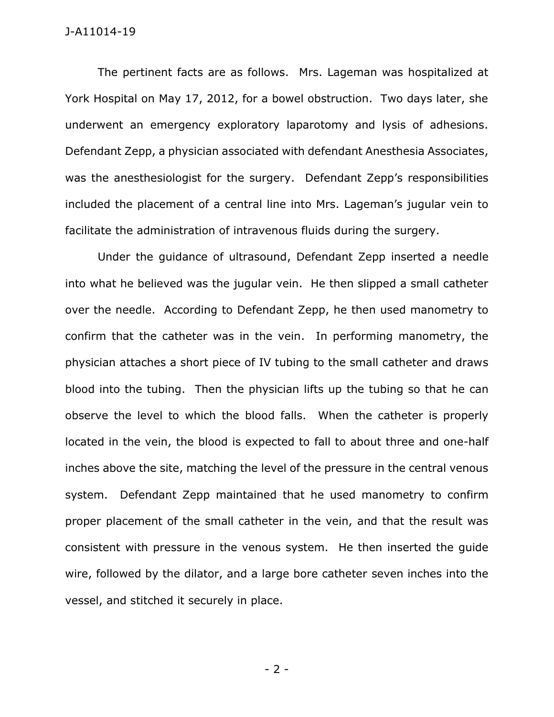The pertinent facts are as follows. Mrs. Lageman was hospitalized at York Hospital on May 17, 2012, for a bowel obstruction. Two days later, she underwent an emergency exploratory laparotomy and lysis of adhesions. Defendant Zepp, a physician associated with defendant Anesthesia Associates, was the anesthesiologist for the surgery. Defendant Zepp's responsibilities included the placement of a central line into Mrs. Lageman's jugular vein to facilitate the administration of intravenous fluids during the surgery.

Under the guidance of ultrasound, Defendant Zepp inserted a needle into what he believed was the jugular vein. He then slipped a small catheter over the needle. According to Defendant Zepp, he then used manometry to confirm that the catheter was in the vein. In performing manometry, the physician attaches a short piece of IV tubing to the small catheter and draws blood into the tubing. Then the physician lifts up the tubing so that he can observe the level to which the blood falls. When the catheter is properly located in the vein, the blood is expected to fall to about three and one-half inches above the site, matching the level of the pressure in the central venous system. Defendant Zepp maintained that he used manometry to confirm proper placement of the small catheter in the vein, and that the result was consistent with pressure in the venous system. He then inserted the guide wire, followed by the dilator, and a large bore catheter seven inches into the vessel, and stitched it securely in place.

- 2 -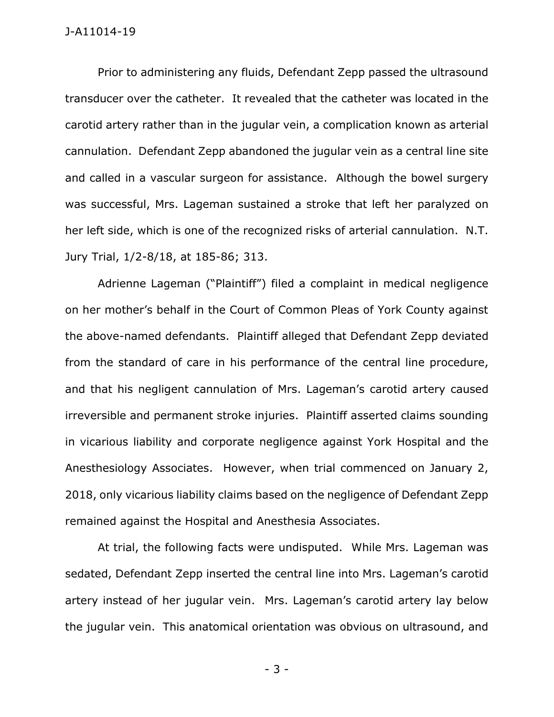Prior to administering any fluids, Defendant Zepp passed the ultrasound transducer over the catheter. It revealed that the catheter was located in the carotid artery rather than in the jugular vein, a complication known as arterial cannulation. Defendant Zepp abandoned the jugular vein as a central line site and called in a vascular surgeon for assistance. Although the bowel surgery was successful, Mrs. Lageman sustained a stroke that left her paralyzed on her left side, which is one of the recognized risks of arterial cannulation. N.T. Jury Trial, 1/2-8/18, at 185-86; 313.

Adrienne Lageman ("Plaintiff") filed a complaint in medical negligence on her mother's behalf in the Court of Common Pleas of York County against the above-named defendants. Plaintiff alleged that Defendant Zepp deviated from the standard of care in his performance of the central line procedure, and that his negligent cannulation of Mrs. Lageman's carotid artery caused irreversible and permanent stroke injuries. Plaintiff asserted claims sounding in vicarious liability and corporate negligence against York Hospital and the Anesthesiology Associates. However, when trial commenced on January 2, 2018, only vicarious liability claims based on the negligence of Defendant Zepp remained against the Hospital and Anesthesia Associates.

At trial, the following facts were undisputed. While Mrs. Lageman was sedated, Defendant Zepp inserted the central line into Mrs. Lageman's carotid artery instead of her jugular vein. Mrs. Lageman's carotid artery lay below the jugular vein. This anatomical orientation was obvious on ultrasound, and

- 3 -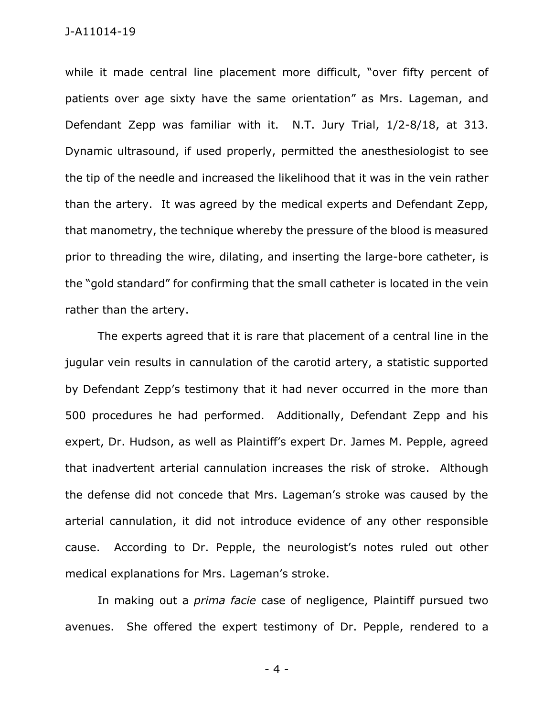while it made central line placement more difficult, "over fifty percent of patients over age sixty have the same orientation" as Mrs. Lageman, and Defendant Zepp was familiar with it. N.T. Jury Trial, 1/2-8/18, at 313. Dynamic ultrasound, if used properly, permitted the anesthesiologist to see the tip of the needle and increased the likelihood that it was in the vein rather than the artery. It was agreed by the medical experts and Defendant Zepp, that manometry, the technique whereby the pressure of the blood is measured prior to threading the wire, dilating, and inserting the large-bore catheter, is the "gold standard" for confirming that the small catheter is located in the vein rather than the artery.

The experts agreed that it is rare that placement of a central line in the jugular vein results in cannulation of the carotid artery, a statistic supported by Defendant Zepp's testimony that it had never occurred in the more than 500 procedures he had performed. Additionally, Defendant Zepp and his expert, Dr. Hudson, as well as Plaintiff's expert Dr. James M. Pepple, agreed that inadvertent arterial cannulation increases the risk of stroke. Although the defense did not concede that Mrs. Lageman's stroke was caused by the arterial cannulation, it did not introduce evidence of any other responsible cause. According to Dr. Pepple, the neurologist's notes ruled out other medical explanations for Mrs. Lageman's stroke.

In making out a *prima facie* case of negligence, Plaintiff pursued two avenues. She offered the expert testimony of Dr. Pepple, rendered to a

- 4 -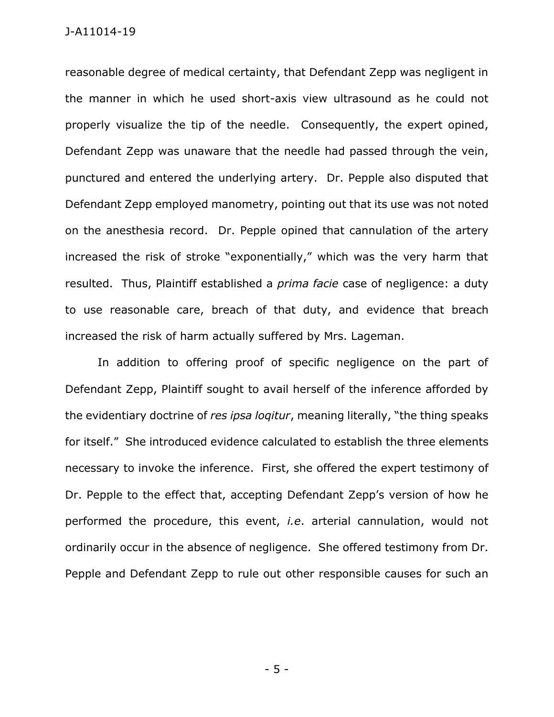reasonable degree of medical certainty, that Defendant Zepp was negligent in the manner in which he used short-axis view ultrasound as he could not properly visualize the tip of the needle. Consequently, the expert opined, Defendant Zepp was unaware that the needle had passed through the vein, punctured and entered the underlying artery. Dr. Pepple also disputed that Defendant Zepp employed manometry, pointing out that its use was not noted on the anesthesia record. Dr. Pepple opined that cannulation of the artery increased the risk of stroke "exponentially," which was the very harm that resulted. Thus, Plaintiff established a *prima facie* case of negligence: a duty to use reasonable care, breach of that duty, and evidence that breach increased the risk of harm actually suffered by Mrs. Lageman.

In addition to offering proof of specific negligence on the part of Defendant Zepp, Plaintiff sought to avail herself of the inference afforded by the evidentiary doctrine of *res ipsa loqitur*, meaning literally, "the thing speaks for itself." She introduced evidence calculated to establish the three elements necessary to invoke the inference. First, she offered the expert testimony of Dr. Pepple to the effect that, accepting Defendant Zepp's version of how he performed the procedure, this event, *i.e*. arterial cannulation, would not ordinarily occur in the absence of negligence. She offered testimony from Dr. Pepple and Defendant Zepp to rule out other responsible causes for such an

- 5 -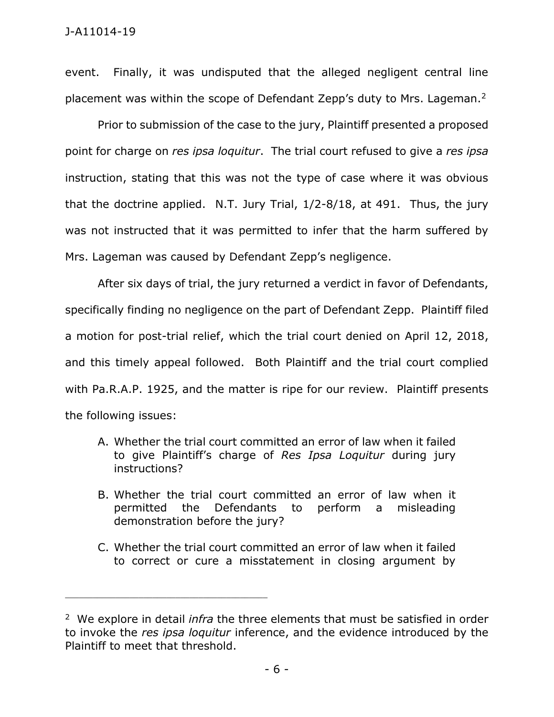event. Finally, it was undisputed that the alleged negligent central line placement was within the scope of Defendant Zepp's duty to Mrs. Lageman. $2$ 

Prior to submission of the case to the jury, Plaintiff presented a proposed point for charge on *res ipsa loquitur*. The trial court refused to give a *res ipsa* instruction, stating that this was not the type of case where it was obvious that the doctrine applied. N.T. Jury Trial, 1/2-8/18, at 491. Thus, the jury was not instructed that it was permitted to infer that the harm suffered by Mrs. Lageman was caused by Defendant Zepp's negligence.

After six days of trial, the jury returned a verdict in favor of Defendants, specifically finding no negligence on the part of Defendant Zepp. Plaintiff filed a motion for post-trial relief, which the trial court denied on April 12, 2018, and this timely appeal followed. Both Plaintiff and the trial court complied with Pa.R.A.P. 1925, and the matter is ripe for our review. Plaintiff presents the following issues:

- A. Whether the trial court committed an error of law when it failed to give Plaintiff's charge of *Res Ipsa Loquitur* during jury instructions?
- B. Whether the trial court committed an error of law when it permitted the Defendants to perform a misleading demonstration before the jury?
- C. Whether the trial court committed an error of law when it failed to correct or cure a misstatement in closing argument by

<sup>2</sup> We explore in detail *infra* the three elements that must be satisfied in order to invoke the *res ipsa loquitur* inference, and the evidence introduced by the Plaintiff to meet that threshold.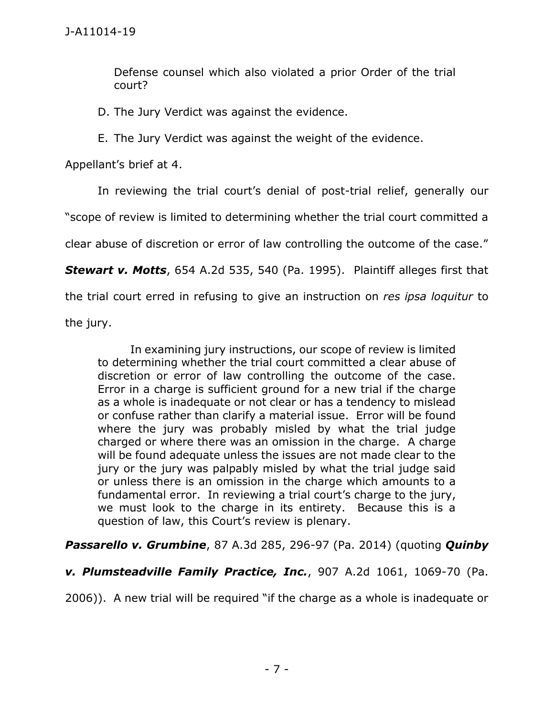Defense counsel which also violated a prior Order of the trial court?

D. The Jury Verdict was against the evidence.

E. The Jury Verdict was against the weight of the evidence.

Appellant's brief at 4.

In reviewing the trial court's denial of post-trial relief, generally our

"scope of review is limited to determining whether the trial court committed a

clear abuse of discretion or error of law controlling the outcome of the case."

*Stewart v. Motts*, 654 A.2d 535, 540 (Pa. 1995). Plaintiff alleges first that

the trial court erred in refusing to give an instruction on *res ipsa loquitur* to

the jury.

In examining jury instructions, our scope of review is limited to determining whether the trial court committed a clear abuse of discretion or error of law controlling the outcome of the case. Error in a charge is sufficient ground for a new trial if the charge as a whole is inadequate or not clear or has a tendency to mislead or confuse rather than clarify a material issue. Error will be found where the jury was probably misled by what the trial judge charged or where there was an omission in the charge. A charge will be found adequate unless the issues are not made clear to the jury or the jury was palpably misled by what the trial judge said or unless there is an omission in the charge which amounts to a fundamental error. In reviewing a trial court's charge to the jury, we must look to the charge in its entirety. Because this is a question of law, this Court's review is plenary.

*Passarello v. Grumbine*, 87 A.3d 285, 296-97 (Pa. 2014) (quoting *Quinby* 

*v. Plumsteadville Family Practice, Inc.*, 907 A.2d 1061, 1069-70 (Pa.

2006)). A new trial will be required "if the charge as a whole is inadequate or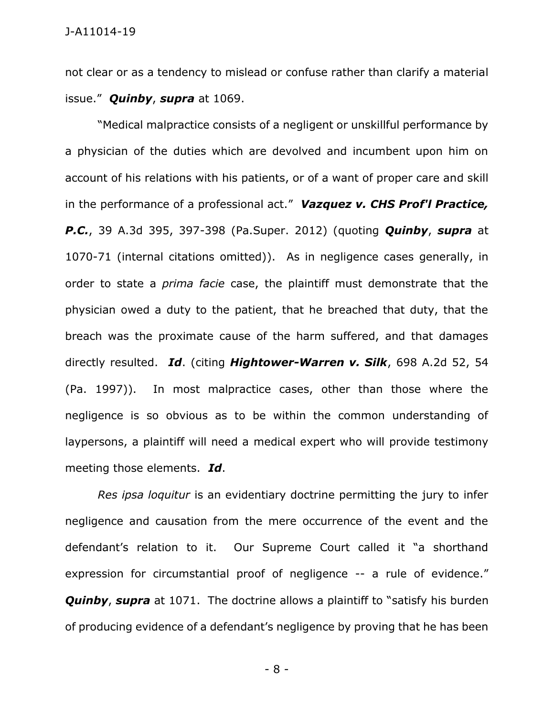not clear or as a tendency to mislead or confuse rather than clarify a material issue." *Quinby*, *supra* at 1069.

"Medical malpractice consists of a negligent or unskillful performance by a physician of the duties which are devolved and incumbent upon him on account of his relations with his patients, or of a want of proper care and skill in the performance of a professional act." *Vazquez v. CHS Prof'l Practice, P.C.*, 39 A.3d 395, 397-398 (Pa.Super. 2012) (quoting *Quinby*, *supra* at 1070-71 (internal citations omitted)). As in negligence cases generally, in order to state a *prima facie* case, the plaintiff must demonstrate that the physician owed a duty to the patient, that he breached that duty, that the breach was the proximate cause of the harm suffered, and that damages directly resulted. *Id*. (citing *Hightower-Warren v. Silk*, 698 A.2d 52, 54 (Pa. 1997)). In most malpractice cases, other than those where the negligence is so obvious as to be within the common understanding of laypersons, a plaintiff will need a medical expert who will provide testimony meeting those elements. *Id*.

*Res ipsa loquitur* is an evidentiary doctrine permitting the jury to infer negligence and causation from the mere occurrence of the event and the defendant's relation to it. Our Supreme Court called it "a shorthand expression for circumstantial proof of negligence -- a rule of evidence." **Quinby, supra** at 1071. The doctrine allows a plaintiff to "satisfy his burden of producing evidence of a defendant's negligence by proving that he has been

- 8 -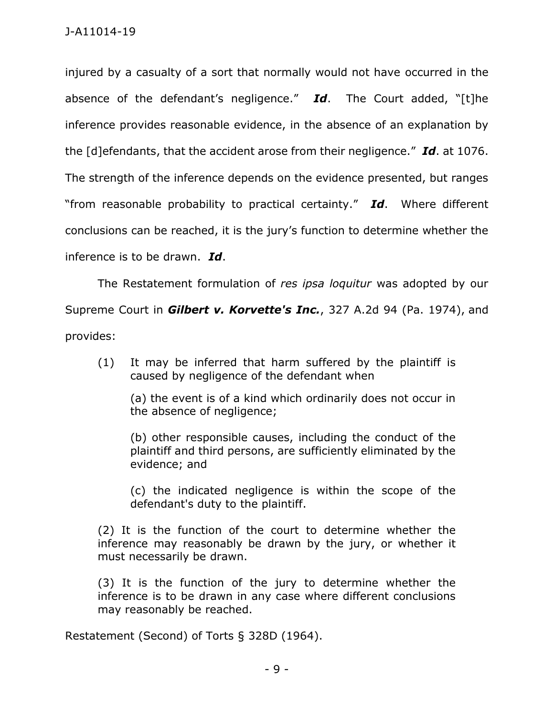injured by a casualty of a sort that normally would not have occurred in the absence of the defendant's negligence." *Id*. The Court added, "[t]he inference provides reasonable evidence, in the absence of an explanation by the [d]efendants, that the accident arose from their negligence." *Id*. at 1076. The strength of the inference depends on the evidence presented, but ranges "from reasonable probability to practical certainty." *Id*. Where different conclusions can be reached, it is the jury's function to determine whether the inference is to be drawn. *Id*.

The Restatement formulation of *res ipsa loquitur* was adopted by our Supreme Court in *Gilbert v. Korvette's Inc.*, 327 A.2d 94 (Pa. 1974), and provides:

(1) It may be inferred that harm suffered by the plaintiff is caused by negligence of the defendant when

(a) the event is of a kind which ordinarily does not occur in the absence of negligence;

(b) other responsible causes, including the conduct of the plaintiff and third persons, are sufficiently eliminated by the evidence; and

(c) the indicated negligence is within the scope of the defendant's duty to the plaintiff.

(2) It is the function of the court to determine whether the inference may reasonably be drawn by the jury, or whether it must necessarily be drawn.

(3) It is the function of the jury to determine whether the inference is to be drawn in any case where different conclusions may reasonably be reached.

Restatement (Second) of Torts § 328D (1964).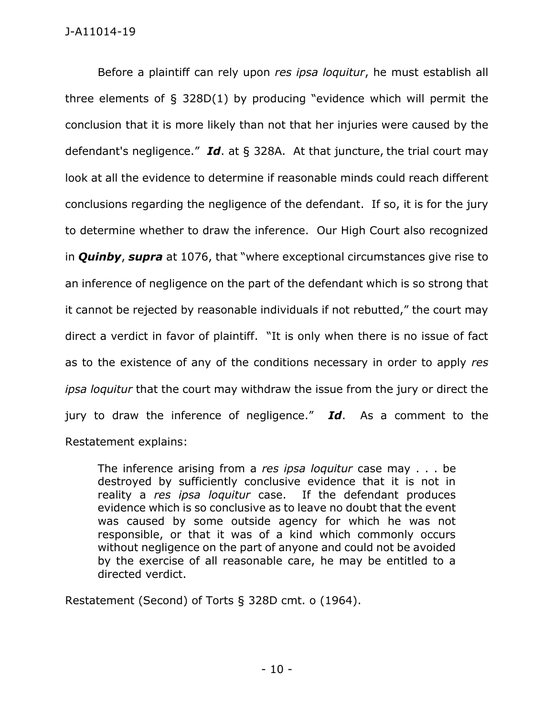Before a plaintiff can rely upon *res ipsa loquitur*, he must establish all three elements of § 328D(1) by producing "evidence which will permit the conclusion that it is more likely than not that her injuries were caused by the defendant's negligence." *Id*. at § 328A. At that juncture, the trial court may look at all the evidence to determine if reasonable minds could reach different conclusions regarding the negligence of the defendant. If so, it is for the jury to determine whether to draw the inference. Our High Court also recognized in *Quinby*, *supra* at 1076, that "where exceptional circumstances give rise to an inference of negligence on the part of the defendant which is so strong that it cannot be rejected by reasonable individuals if not rebutted," the court may direct a verdict in favor of plaintiff. "It is only when there is no issue of fact as to the existence of any of the conditions necessary in order to apply *res ipsa loquitur* that the court may withdraw the issue from the jury or direct the jury to draw the inference of negligence." *Id*. As a comment to the Restatement explains:

The inference arising from a *res ipsa loquitur* case may . . . be destroyed by sufficiently conclusive evidence that it is not in reality a *res ipsa loquitur* case. If the defendant produces evidence which is so conclusive as to leave no doubt that the event was caused by some outside agency for which he was not responsible, or that it was of a kind which commonly occurs without negligence on the part of anyone and could not be avoided by the exercise of all reasonable care, he may be entitled to a directed verdict.

Restatement (Second) of Torts § 328D cmt. o (1964).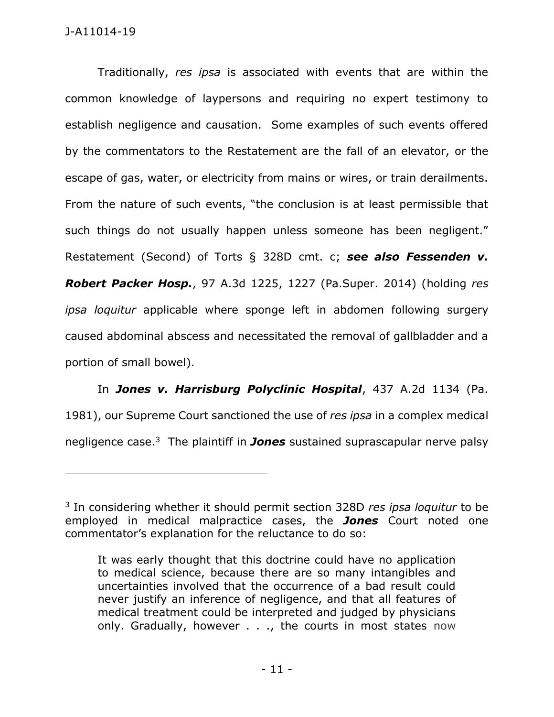Traditionally, *res ipsa* is associated with events that are within the common knowledge of laypersons and requiring no expert testimony to establish negligence and causation. Some examples of such events offered by the commentators to the Restatement are the fall of an elevator, or the escape of gas, water, or electricity from mains or wires, or train derailments. From the nature of such events, "the conclusion is at least permissible that such things do not usually happen unless someone has been negligent." Restatement (Second) of Torts § 328D cmt. c; *see also Fessenden v. Robert Packer Hosp.*, 97 A.3d 1225, 1227 (Pa.Super. 2014) (holding *res ipsa loquitur* applicable where sponge left in abdomen following surgery caused abdominal abscess and necessitated the removal of gallbladder and a portion of small bowel).

In *Jones v. Harrisburg Polyclinic Hospital*, 437 A.2d 1134 (Pa. 1981), our Supreme Court sanctioned the use of *res ipsa* in a complex medical negligence case.<sup>3</sup> The plaintiff in **Jones** sustained suprascapular nerve palsy

<sup>3</sup> In considering whether it should permit section 328D *res ipsa loquitur* to be employed in medical malpractice cases, the *Jones* Court noted one commentator's explanation for the reluctance to do so:

It was early thought that this doctrine could have no application to medical science, because there are so many intangibles and uncertainties involved that the occurrence of a bad result could never justify an inference of negligence, and that all features of medical treatment could be interpreted and judged by physicians only. Gradually, however . . ., the courts in most states now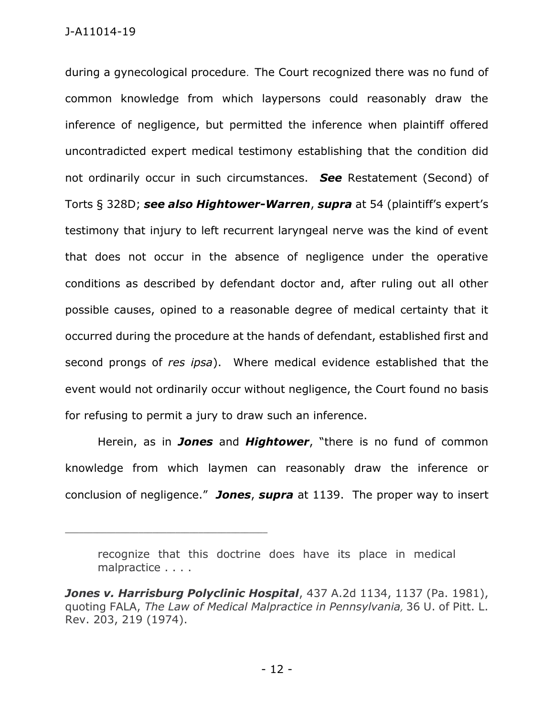during a gynecological procedure. The Court recognized there was no fund of common knowledge from which laypersons could reasonably draw the inference of negligence, but permitted the inference when plaintiff offered uncontradicted expert medical testimony establishing that the condition did not ordinarily occur in such circumstances. *See* Restatement (Second) of Torts § 328D; *see also Hightower-Warren*, *supra* at 54 (plaintiff's expert's testimony that injury to left recurrent laryngeal nerve was the kind of event that does not occur in the absence of negligence under the operative conditions as described by defendant doctor and, after ruling out all other possible causes, opined to a reasonable degree of medical certainty that it occurred during the procedure at the hands of defendant, established first and second prongs of *res ipsa*). Where medical evidence established that the event would not ordinarily occur without negligence, the Court found no basis for refusing to permit a jury to draw such an inference.

Herein, as in *Jones* and *Hightower*, "there is no fund of common knowledge from which laymen can reasonably draw the inference or conclusion of negligence." *Jones*, *supra* at 1139. The proper way to insert

recognize that this doctrine does have its place in medical malpractice . . . .

*Jones v. Harrisburg Polyclinic Hospital*, 437 A.2d 1134, 1137 (Pa. 1981), quoting FALA, *The Law of Medical Malpractice in Pennsylvania,* 36 U. of Pitt. L. Rev. 203, 219 (1974).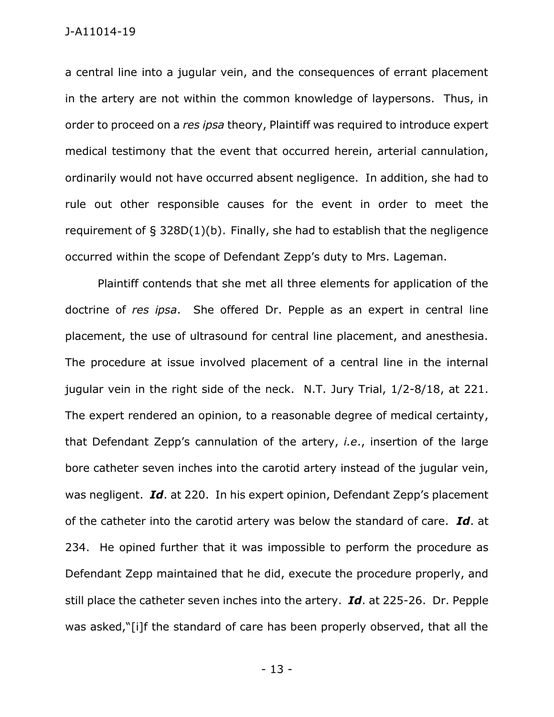a central line into a jugular vein, and the consequences of errant placement in the artery are not within the common knowledge of laypersons. Thus, in order to proceed on a *res ipsa* theory, Plaintiff was required to introduce expert medical testimony that the event that occurred herein, arterial cannulation, ordinarily would not have occurred absent negligence. In addition, she had to rule out other responsible causes for the event in order to meet the requirement of § 328D(1)(b). Finally, she had to establish that the negligence occurred within the scope of Defendant Zepp's duty to Mrs. Lageman.

Plaintiff contends that she met all three elements for application of the doctrine of *res ipsa*. She offered Dr. Pepple as an expert in central line placement, the use of ultrasound for central line placement, and anesthesia. The procedure at issue involved placement of a central line in the internal jugular vein in the right side of the neck. N.T. Jury Trial, 1/2-8/18, at 221. The expert rendered an opinion, to a reasonable degree of medical certainty, that Defendant Zepp's cannulation of the artery, *i.e*., insertion of the large bore catheter seven inches into the carotid artery instead of the jugular vein, was negligent. *Id*. at 220. In his expert opinion, Defendant Zepp's placement of the catheter into the carotid artery was below the standard of care. *Id*. at 234. He opined further that it was impossible to perform the procedure as Defendant Zepp maintained that he did, execute the procedure properly, and still place the catheter seven inches into the artery. *Id*. at 225-26. Dr. Pepple was asked,"[i]f the standard of care has been properly observed, that all the

- 13 -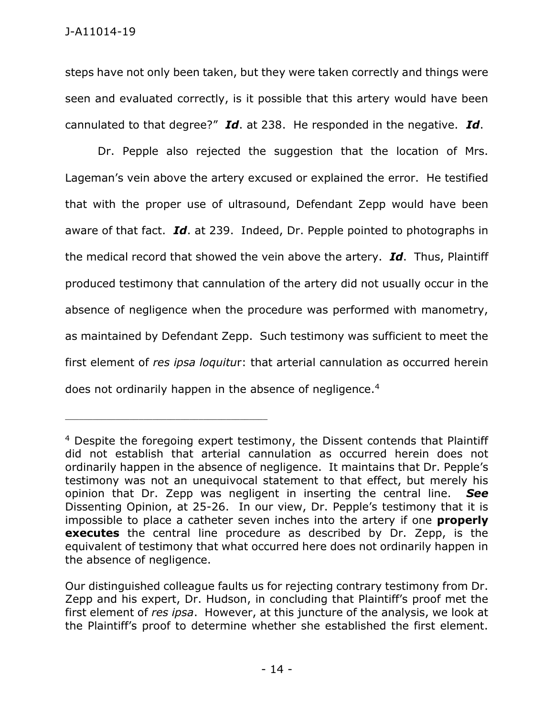steps have not only been taken, but they were taken correctly and things were seen and evaluated correctly, is it possible that this artery would have been cannulated to that degree?" *Id*. at 238. He responded in the negative. *Id*.

Dr. Pepple also rejected the suggestion that the location of Mrs. Lageman's vein above the artery excused or explained the error. He testified that with the proper use of ultrasound, Defendant Zepp would have been aware of that fact. *Id*. at 239. Indeed, Dr. Pepple pointed to photographs in the medical record that showed the vein above the artery. *Id*. Thus, Plaintiff produced testimony that cannulation of the artery did not usually occur in the absence of negligence when the procedure was performed with manometry, as maintained by Defendant Zepp. Such testimony was sufficient to meet the first element of *res ipsa loquitu*r: that arterial cannulation as occurred herein does not ordinarily happen in the absence of negligence. $4$ 

<sup>&</sup>lt;sup>4</sup> Despite the foregoing expert testimony, the Dissent contends that Plaintiff did not establish that arterial cannulation as occurred herein does not ordinarily happen in the absence of negligence. It maintains that Dr. Pepple's testimony was not an unequivocal statement to that effect, but merely his opinion that Dr. Zepp was negligent in inserting the central line. *See* Dissenting Opinion, at 25-26. In our view, Dr. Pepple's testimony that it is impossible to place a catheter seven inches into the artery if one **properly executes** the central line procedure as described by Dr. Zepp, is the equivalent of testimony that what occurred here does not ordinarily happen in the absence of negligence.

Our distinguished colleague faults us for rejecting contrary testimony from Dr. Zepp and his expert, Dr. Hudson, in concluding that Plaintiff's proof met the first element of *res ipsa*. However, at this juncture of the analysis, we look at the Plaintiff's proof to determine whether she established the first element.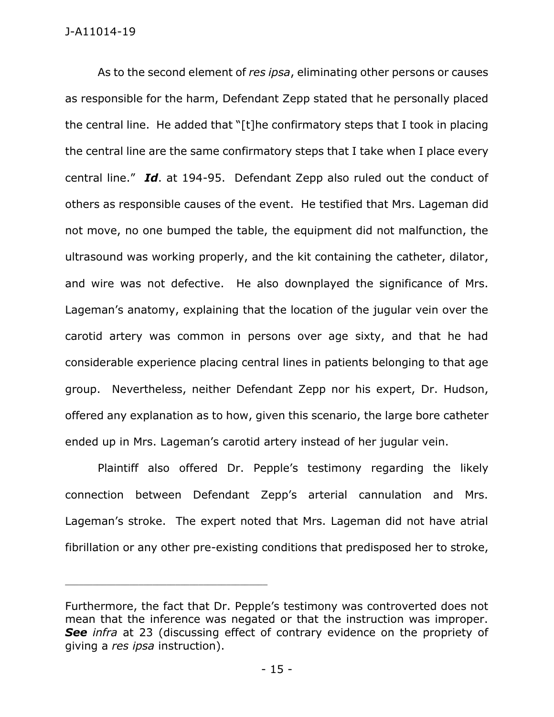As to the second element of *res ipsa*, eliminating other persons or causes as responsible for the harm, Defendant Zepp stated that he personally placed the central line. He added that "[t]he confirmatory steps that I took in placing the central line are the same confirmatory steps that I take when I place every central line." *Id*. at 194-95. Defendant Zepp also ruled out the conduct of others as responsible causes of the event. He testified that Mrs. Lageman did not move, no one bumped the table, the equipment did not malfunction, the ultrasound was working properly, and the kit containing the catheter, dilator, and wire was not defective. He also downplayed the significance of Mrs. Lageman's anatomy, explaining that the location of the jugular vein over the carotid artery was common in persons over age sixty, and that he had considerable experience placing central lines in patients belonging to that age group. Nevertheless, neither Defendant Zepp nor his expert, Dr. Hudson, offered any explanation as to how, given this scenario, the large bore catheter ended up in Mrs. Lageman's carotid artery instead of her jugular vein.

Plaintiff also offered Dr. Pepple's testimony regarding the likely connection between Defendant Zepp's arterial cannulation and Mrs. Lageman's stroke. The expert noted that Mrs. Lageman did not have atrial fibrillation or any other pre-existing conditions that predisposed her to stroke,

Furthermore, the fact that Dr. Pepple's testimony was controverted does not mean that the inference was negated or that the instruction was improper. *See infra* at 23 (discussing effect of contrary evidence on the propriety of giving a *res ipsa* instruction).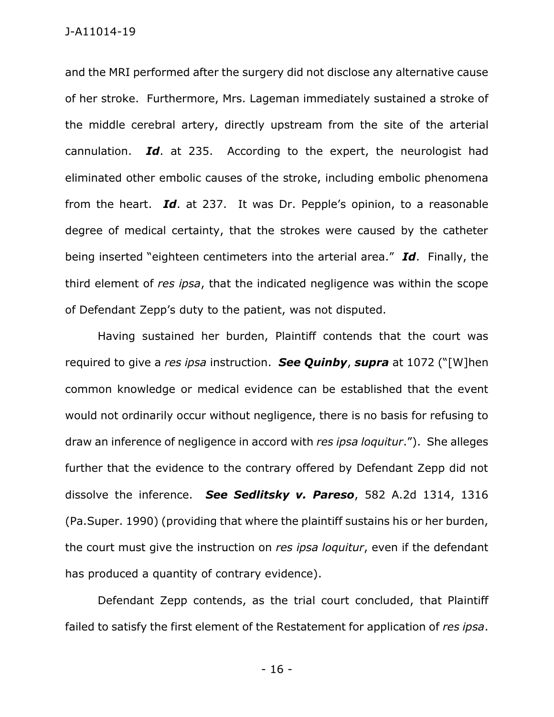and the MRI performed after the surgery did not disclose any alternative cause of her stroke. Furthermore, Mrs. Lageman immediately sustained a stroke of the middle cerebral artery, directly upstream from the site of the arterial cannulation. *Id*. at 235. According to the expert, the neurologist had eliminated other embolic causes of the stroke, including embolic phenomena from the heart. *Id*. at 237. It was Dr. Pepple's opinion, to a reasonable degree of medical certainty, that the strokes were caused by the catheter being inserted "eighteen centimeters into the arterial area." *Id*. Finally, the third element of *res ipsa*, that the indicated negligence was within the scope of Defendant Zepp's duty to the patient, was not disputed.

Having sustained her burden, Plaintiff contends that the court was required to give a *res ipsa* instruction. *See Quinby*, *supra* at 1072 ("[W]hen common knowledge or medical evidence can be established that the event would not ordinarily occur without negligence, there is no basis for refusing to draw an inference of negligence in accord with *res ipsa loquitur*."). She alleges further that the evidence to the contrary offered by Defendant Zepp did not dissolve the inference. *See Sedlitsky v. Pareso*, 582 A.2d 1314, 1316 (Pa.Super. 1990) (providing that where the plaintiff sustains his or her burden, the court must give the instruction on *res ipsa loquitur*, even if the defendant has produced a quantity of contrary evidence).

Defendant Zepp contends, as the trial court concluded, that Plaintiff failed to satisfy the first element of the Restatement for application of *res ipsa*.

- 16 -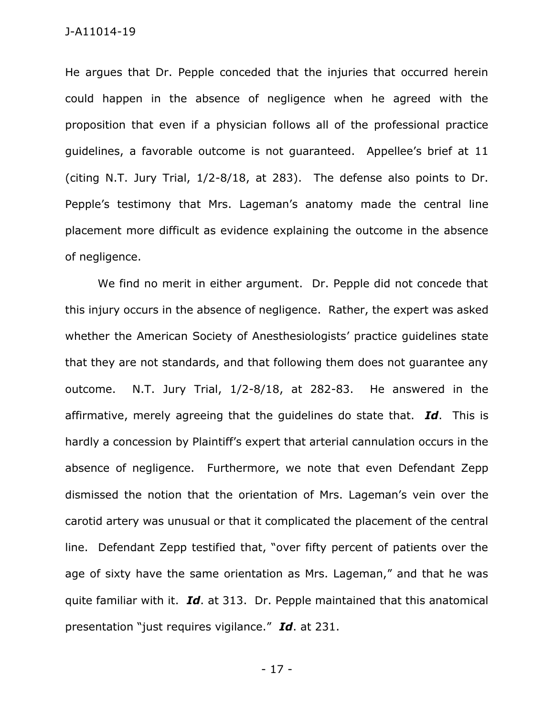He argues that Dr. Pepple conceded that the injuries that occurred herein could happen in the absence of negligence when he agreed with the proposition that even if a physician follows all of the professional practice guidelines, a favorable outcome is not guaranteed. Appellee's brief at 11 (citing N.T. Jury Trial, 1/2-8/18, at 283). The defense also points to Dr. Pepple's testimony that Mrs. Lageman's anatomy made the central line placement more difficult as evidence explaining the outcome in the absence of negligence.

We find no merit in either argument. Dr. Pepple did not concede that this injury occurs in the absence of negligence. Rather, the expert was asked whether the American Society of Anesthesiologists' practice guidelines state that they are not standards, and that following them does not guarantee any outcome. N.T. Jury Trial, 1/2-8/18, at 282-83. He answered in the affirmative, merely agreeing that the guidelines do state that. *Id*. This is hardly a concession by Plaintiff's expert that arterial cannulation occurs in the absence of negligence. Furthermore, we note that even Defendant Zepp dismissed the notion that the orientation of Mrs. Lageman's vein over the carotid artery was unusual or that it complicated the placement of the central line. Defendant Zepp testified that, "over fifty percent of patients over the age of sixty have the same orientation as Mrs. Lageman," and that he was quite familiar with it. *Id*. at 313. Dr. Pepple maintained that this anatomical presentation "just requires vigilance." *Id*. at 231.

- 17 -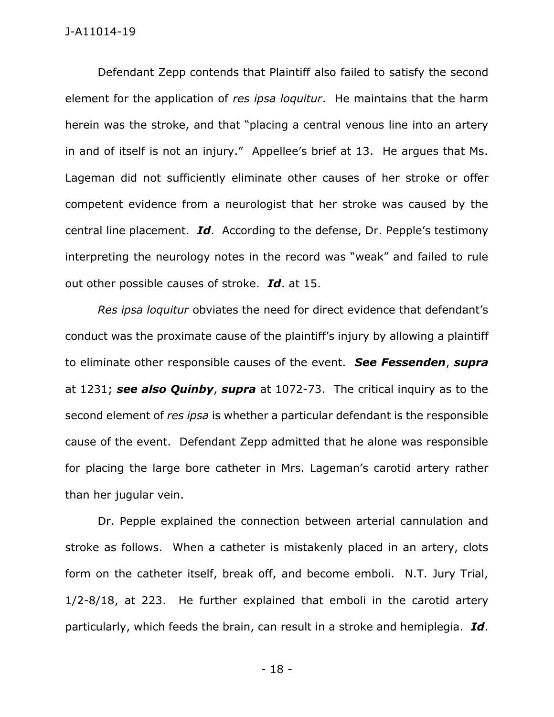Defendant Zepp contends that Plaintiff also failed to satisfy the second element for the application of *res ipsa loquitur*. He maintains that the harm herein was the stroke, and that "placing a central venous line into an artery in and of itself is not an injury." Appellee's brief at 13. He argues that Ms. Lageman did not sufficiently eliminate other causes of her stroke or offer competent evidence from a neurologist that her stroke was caused by the central line placement. *Id*. According to the defense, Dr. Pepple's testimony interpreting the neurology notes in the record was "weak" and failed to rule out other possible causes of stroke. *Id*. at 15.

*Res ipsa loquitur* obviates the need for direct evidence that defendant's conduct was the proximate cause of the plaintiff's injury by allowing a plaintiff to eliminate other responsible causes of the event. *See Fessenden*, *supra* at 1231; *see also Quinby*, *supra* at 1072-73. The critical inquiry as to the second element of *res ipsa* is whether a particular defendant is the responsible cause of the event. Defendant Zepp admitted that he alone was responsible for placing the large bore catheter in Mrs. Lageman's carotid artery rather than her jugular vein.

Dr. Pepple explained the connection between arterial cannulation and stroke as follows. When a catheter is mistakenly placed in an artery, clots form on the catheter itself, break off, and become emboli. N.T. Jury Trial, 1/2-8/18, at 223. He further explained that emboli in the carotid artery particularly, which feeds the brain, can result in a stroke and hemiplegia. *Id*.

- 18 -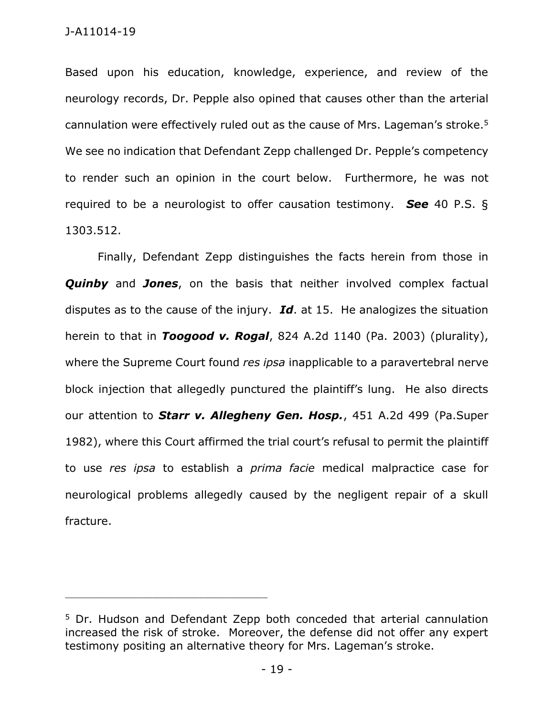Based upon his education, knowledge, experience, and review of the neurology records, Dr. Pepple also opined that causes other than the arterial cannulation were effectively ruled out as the cause of Mrs. Lageman's stroke. 5 We see no indication that Defendant Zepp challenged Dr. Pepple's competency to render such an opinion in the court below. Furthermore, he was not required to be a neurologist to offer causation testimony. *See* 40 P.S. § 1303.512.

Finally, Defendant Zepp distinguishes the facts herein from those in *Quinby* and *Jones*, on the basis that neither involved complex factual disputes as to the cause of the injury. *Id*. at 15. He analogizes the situation herein to that in *Toogood v. Rogal*, 824 A.2d 1140 (Pa. 2003) (plurality), where the Supreme Court found *res ipsa* inapplicable to a paravertebral nerve block injection that allegedly punctured the plaintiff's lung. He also directs our attention to *Starr v. Allegheny Gen. Hosp.*, 451 A.2d 499 (Pa.Super 1982), where this Court affirmed the trial court's refusal to permit the plaintiff to use *res ipsa* to establish a *prima facie* medical malpractice case for neurological problems allegedly caused by the negligent repair of a skull fracture.

<sup>&</sup>lt;sup>5</sup> Dr. Hudson and Defendant Zepp both conceded that arterial cannulation increased the risk of stroke. Moreover, the defense did not offer any expert testimony positing an alternative theory for Mrs. Lageman's stroke.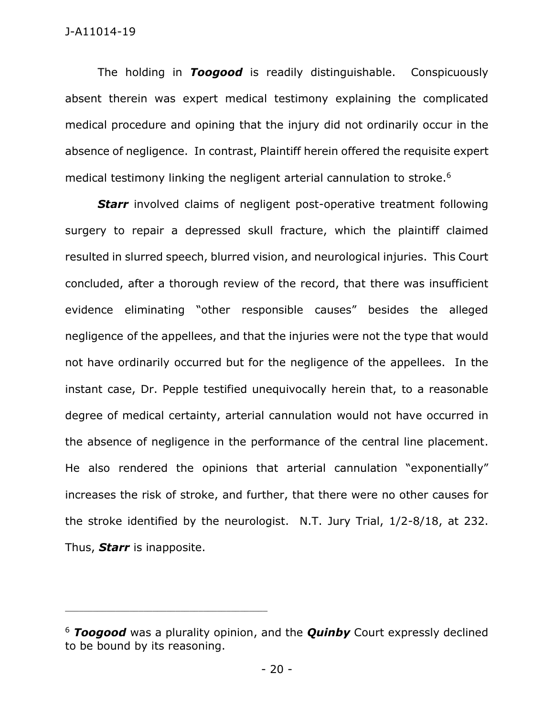The holding in *Toogood* is readily distinguishable. Conspicuously absent therein was expert medical testimony explaining the complicated medical procedure and opining that the injury did not ordinarily occur in the absence of negligence. In contrast, Plaintiff herein offered the requisite expert medical testimony linking the negligent arterial cannulation to stroke.<sup>6</sup>

**Starr** involved claims of negligent post-operative treatment following surgery to repair a depressed skull fracture, which the plaintiff claimed resulted in slurred speech, blurred vision, and neurological injuries. This Court concluded, after a thorough review of the record, that there was insufficient evidence eliminating "other responsible causes" besides the alleged negligence of the appellees, and that the injuries were not the type that would not have ordinarily occurred but for the negligence of the appellees. In the instant case, Dr. Pepple testified unequivocally herein that, to a reasonable degree of medical certainty, arterial cannulation would not have occurred in the absence of negligence in the performance of the central line placement. He also rendered the opinions that arterial cannulation "exponentially" increases the risk of stroke, and further, that there were no other causes for the stroke identified by the neurologist. N.T. Jury Trial, 1/2-8/18, at 232. Thus, *Starr* is inapposite.

<sup>6</sup> *Toogood* was a plurality opinion, and the *Quinby* Court expressly declined to be bound by its reasoning.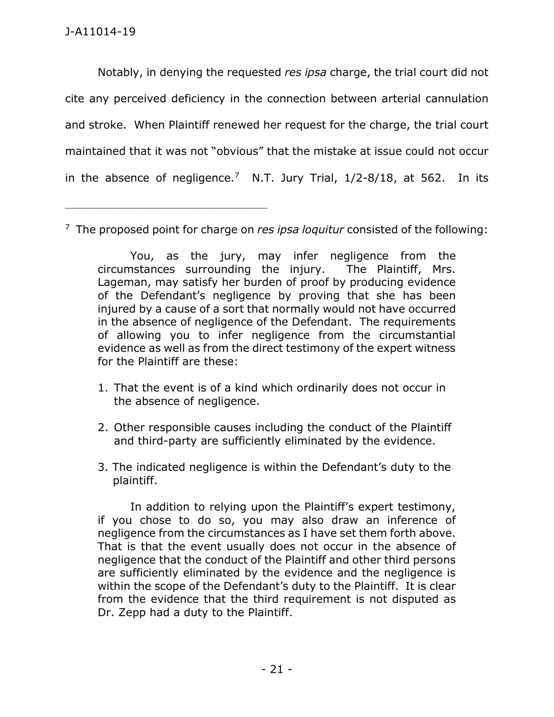\_\_\_\_\_\_\_\_\_\_\_\_\_\_\_\_\_\_\_\_\_\_\_\_\_\_\_\_\_\_\_\_\_\_\_\_\_\_\_\_\_\_\_\_

Notably, in denying the requested *res ipsa* charge, the trial court did not cite any perceived deficiency in the connection between arterial cannulation and stroke. When Plaintiff renewed her request for the charge, the trial court maintained that it was not "obvious" that the mistake at issue could not occur in the absence of negligence.<sup>7</sup> N.T. Jury Trial,  $1/2-8/18$ , at 562. In its

7 The proposed point for charge on *res ipsa loquitur* consisted of the following:

You, as the jury, may infer negligence from the circumstances surrounding the injury. The Plaintiff, Mrs. Lageman, may satisfy her burden of proof by producing evidence of the Defendant's negligence by proving that she has been injured by a cause of a sort that normally would not have occurred in the absence of negligence of the Defendant. The requirements of allowing you to infer negligence from the circumstantial evidence as well as from the direct testimony of the expert witness for the Plaintiff are these:

- 1. That the event is of a kind which ordinarily does not occur in the absence of negligence.
- 2. Other responsible causes including the conduct of the Plaintiff and third-party are sufficiently eliminated by the evidence.
- 3. The indicated negligence is within the Defendant's duty to the plaintiff.

In addition to relying upon the Plaintiff's expert testimony, if you chose to do so, you may also draw an inference of negligence from the circumstances as I have set them forth above. That is that the event usually does not occur in the absence of negligence that the conduct of the Plaintiff and other third persons are sufficiently eliminated by the evidence and the negligence is within the scope of the Defendant's duty to the Plaintiff. It is clear from the evidence that the third requirement is not disputed as Dr. Zepp had a duty to the Plaintiff.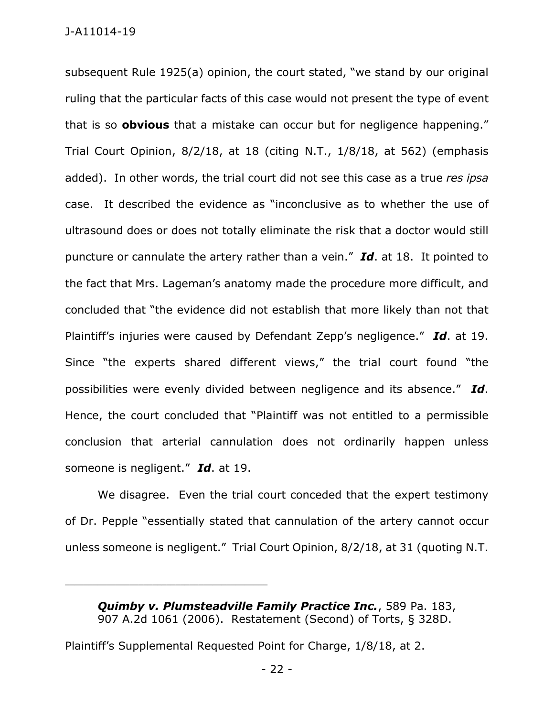subsequent Rule 1925(a) opinion, the court stated, "we stand by our original ruling that the particular facts of this case would not present the type of event that is so **obvious** that a mistake can occur but for negligence happening." Trial Court Opinion, 8/2/18, at 18 (citing N.T., 1/8/18, at 562) (emphasis added). In other words, the trial court did not see this case as a true *res ipsa* case. It described the evidence as "inconclusive as to whether the use of ultrasound does or does not totally eliminate the risk that a doctor would still puncture or cannulate the artery rather than a vein." *Id*. at 18. It pointed to the fact that Mrs. Lageman's anatomy made the procedure more difficult, and concluded that "the evidence did not establish that more likely than not that Plaintiff's injuries were caused by Defendant Zepp's negligence." *Id*. at 19. Since "the experts shared different views," the trial court found "the possibilities were evenly divided between negligence and its absence." *Id*. Hence, the court concluded that "Plaintiff was not entitled to a permissible conclusion that arterial cannulation does not ordinarily happen unless someone is negligent." *Id*. at 19.

We disagree. Even the trial court conceded that the expert testimony of Dr. Pepple "essentially stated that cannulation of the artery cannot occur unless someone is negligent." Trial Court Opinion, 8/2/18, at 31 (quoting N.T.

*Quimby v. Plumsteadville Family Practice Inc.*, 589 Pa. 183, 907 A.2d 1061 (2006). Restatement (Second) of Torts, § 328D.

Plaintiff's Supplemental Requested Point for Charge, 1/8/18, at 2.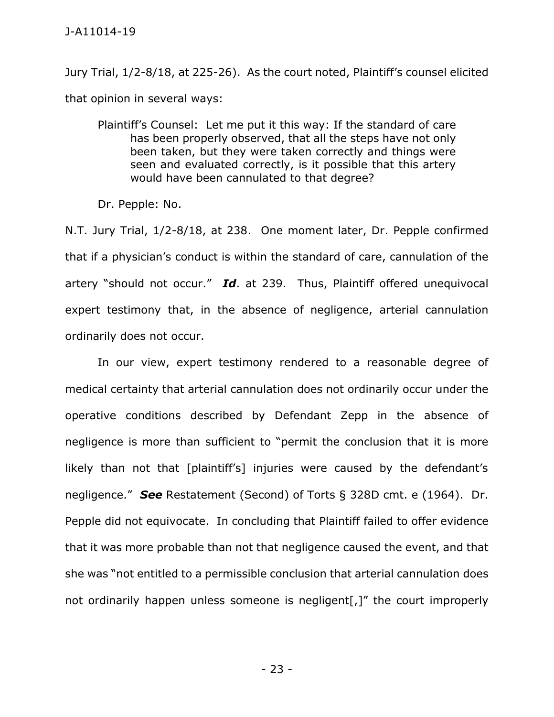Jury Trial, 1/2-8/18, at 225-26). As the court noted, Plaintiff's counsel elicited that opinion in several ways:

Plaintiff's Counsel: Let me put it this way: If the standard of care has been properly observed, that all the steps have not only been taken, but they were taken correctly and things were seen and evaluated correctly, is it possible that this artery would have been cannulated to that degree?

Dr. Pepple: No.

N.T. Jury Trial, 1/2-8/18, at 238. One moment later, Dr. Pepple confirmed that if a physician's conduct is within the standard of care, cannulation of the artery "should not occur." *Id*. at 239. Thus, Plaintiff offered unequivocal expert testimony that, in the absence of negligence, arterial cannulation ordinarily does not occur.

In our view, expert testimony rendered to a reasonable degree of medical certainty that arterial cannulation does not ordinarily occur under the operative conditions described by Defendant Zepp in the absence of negligence is more than sufficient to "permit the conclusion that it is more likely than not that [plaintiff's] injuries were caused by the defendant's negligence." *See* Restatement (Second) of Torts § 328D cmt. e (1964). Dr. Pepple did not equivocate. In concluding that Plaintiff failed to offer evidence that it was more probable than not that negligence caused the event, and that she was "not entitled to a permissible conclusion that arterial cannulation does not ordinarily happen unless someone is negligent[,]" the court improperly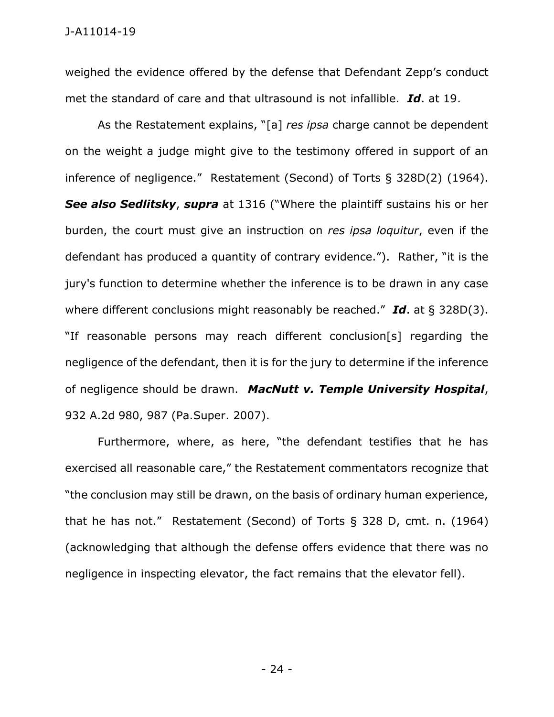weighed the evidence offered by the defense that Defendant Zepp's conduct met the standard of care and that ultrasound is not infallible. *Id*. at 19.

As the Restatement explains, "[a] *res ipsa* charge cannot be dependent on the weight a judge might give to the testimony offered in support of an inference of negligence." Restatement (Second) of Torts § 328D(2) (1964). *See also Sedlitsky*, *supra* at 1316 ("Where the plaintiff sustains his or her burden, the court must give an instruction on *res ipsa loquitur*, even if the defendant has produced a quantity of contrary evidence."). Rather, "it is the jury's function to determine whether the inference is to be drawn in any case where different conclusions might reasonably be reached." *Id*. at § 328D(3). "If reasonable persons may reach different conclusion[s] regarding the negligence of the defendant, then it is for the jury to determine if the inference of negligence should be drawn. *MacNutt v. Temple University Hospital*, 932 A.2d 980, 987 (Pa.Super. 2007).

Furthermore, where, as here, "the defendant testifies that he has exercised all reasonable care," the Restatement commentators recognize that "the conclusion may still be drawn, on the basis of ordinary human experience, that he has not." Restatement (Second) of Torts § 328 D, cmt. n. (1964) (acknowledging that although the defense offers evidence that there was no negligence in inspecting elevator, the fact remains that the elevator fell).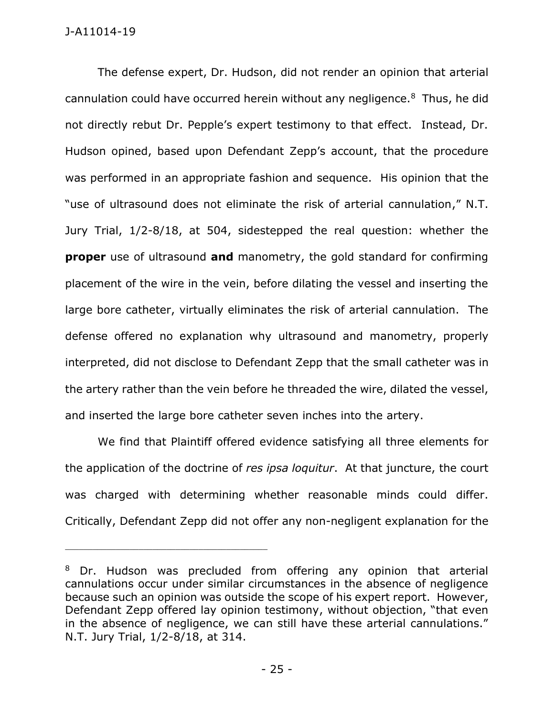The defense expert, Dr. Hudson, did not render an opinion that arterial cannulation could have occurred herein without any negligence.<sup>8</sup> Thus, he did not directly rebut Dr. Pepple's expert testimony to that effect. Instead, Dr. Hudson opined, based upon Defendant Zepp's account, that the procedure was performed in an appropriate fashion and sequence. His opinion that the "use of ultrasound does not eliminate the risk of arterial cannulation," N.T. Jury Trial, 1/2-8/18, at 504, sidestepped the real question: whether the **proper** use of ultrasound **and** manometry, the gold standard for confirming placement of the wire in the vein, before dilating the vessel and inserting the large bore catheter, virtually eliminates the risk of arterial cannulation. The defense offered no explanation why ultrasound and manometry, properly interpreted, did not disclose to Defendant Zepp that the small catheter was in the artery rather than the vein before he threaded the wire, dilated the vessel, and inserted the large bore catheter seven inches into the artery.

We find that Plaintiff offered evidence satisfying all three elements for the application of the doctrine of *res ipsa loquitur*. At that juncture, the court was charged with determining whether reasonable minds could differ. Critically, Defendant Zepp did not offer any non-negligent explanation for the

<sup>8</sup> Dr. Hudson was precluded from offering any opinion that arterial cannulations occur under similar circumstances in the absence of negligence because such an opinion was outside the scope of his expert report. However, Defendant Zepp offered lay opinion testimony, without objection, "that even in the absence of negligence, we can still have these arterial cannulations." N.T. Jury Trial, 1/2-8/18, at 314.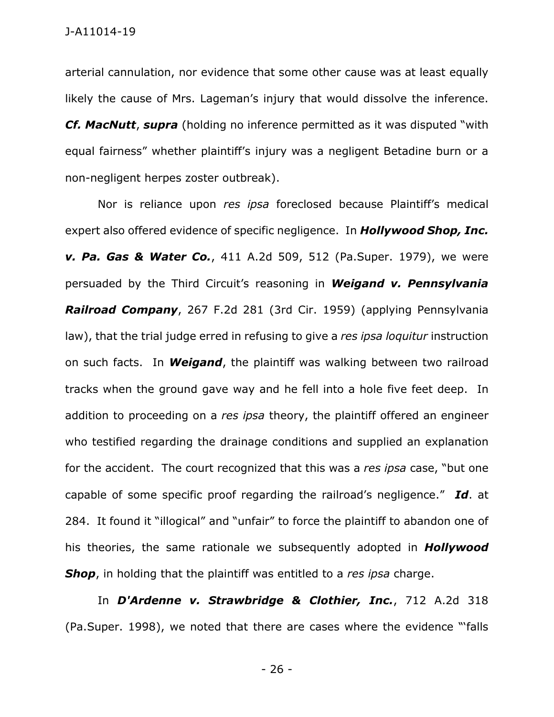arterial cannulation, nor evidence that some other cause was at least equally likely the cause of Mrs. Lageman's injury that would dissolve the inference.

*Cf. MacNutt*, *supra* (holding no inference permitted as it was disputed "with equal fairness" whether plaintiff's injury was a negligent Betadine burn or a non-negligent herpes zoster outbreak).

Nor is reliance upon *res ipsa* foreclosed because Plaintiff's medical expert also offered evidence of specific negligence. In *Hollywood Shop, Inc. v. Pa. Gas & Water Co.*, 411 A.2d 509, 512 (Pa.Super. 1979), we were persuaded by the Third Circuit's reasoning in *Weigand v. Pennsylvania Railroad Company*, 267 F.2d 281 (3rd Cir. 1959) (applying Pennsylvania law), that the trial judge erred in refusing to give a *res ipsa loquitur* instruction on such facts. In *Weigand*, the plaintiff was walking between two railroad tracks when the ground gave way and he fell into a hole five feet deep. In addition to proceeding on a *res ipsa* theory, the plaintiff offered an engineer who testified regarding the drainage conditions and supplied an explanation for the accident. The court recognized that this was a *res ipsa* case, "but one capable of some specific proof regarding the railroad's negligence." *Id*. at 284. It found it "illogical" and "unfair" to force the plaintiff to abandon one of his theories, the same rationale we subsequently adopted in *Hollywood Shop*, in holding that the plaintiff was entitled to a *res ipsa* charge.

In *[D'Ardenne v. Strawbridge & Clothier, Inc.](https://advance.lexis.com/api/document/collection/cases/id/3SNY-G4D0-0039-44NS-00000-00?page=324&reporter=4902&cite=712%20A.2d%20318&context=1000516)*, 712 A.2d 318 [\(Pa.Super. 1998\), we noted that t](https://advance.lexis.com/api/document/collection/cases/id/3SNY-G4D0-0039-44NS-00000-00?page=324&reporter=4902&cite=712%20A.2d%20318&context=1000516)here are cases where the evidence "'falls

- 26 -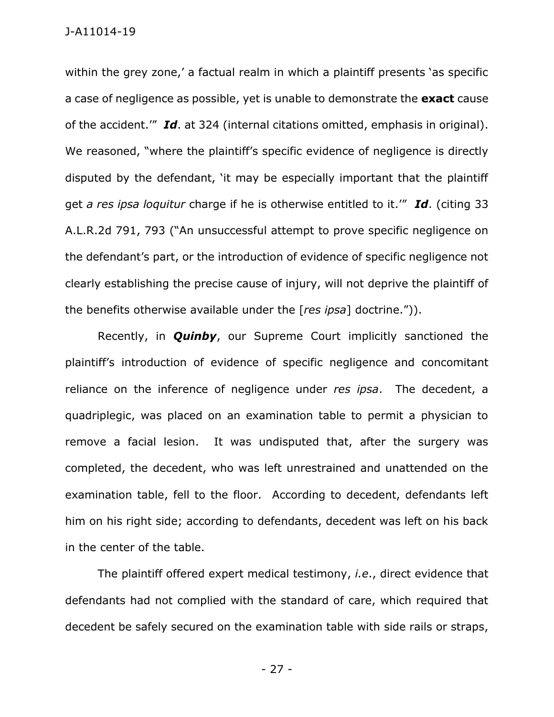within the grey zone,' a factual realm in which a plaintiff presents 'as specific a case of negligence as possible, yet is unable to demonstrate the **exact** cause of the accident.'" *Id*. at 324 (internal citations omitted, emphasis in original). We reasoned, "where the plaintiff's specific evidence of negligence is directly disputed by the defendant, 'it may be especially important that the plaintiff get *a res ipsa loquitur* charge if he is otherwise entitled to it.'" *Id*. (citing 33 A.L.R.2d 791, 793 ("An unsuccessful attempt to prove specific negligence on the defendant's part, or the introduction of evidence of specific negligence not clearly establishing the precise cause of injury, will not deprive the plaintiff of the benefits otherwise available under the [*res ipsa*] doctrine.")).

Recently, in *Quinby*, our Supreme Court implicitly sanctioned the plaintiff's introduction of evidence of specific negligence and concomitant reliance on the inference of negligence under *res ipsa*. The decedent, a quadriplegic, was placed on an examination table to permit a physician to remove a facial lesion. It was undisputed that, after the surgery was completed, the decedent, who was left unrestrained and unattended on the examination table, fell to the floor. According to decedent, defendants left him on his right side; according to defendants, decedent was left on his back in the center of the table.

The plaintiff offered expert medical testimony, *i.e*., direct evidence that defendants had not complied with the standard of care, which required that decedent be safely secured on the examination table with side rails or straps,

- 27 -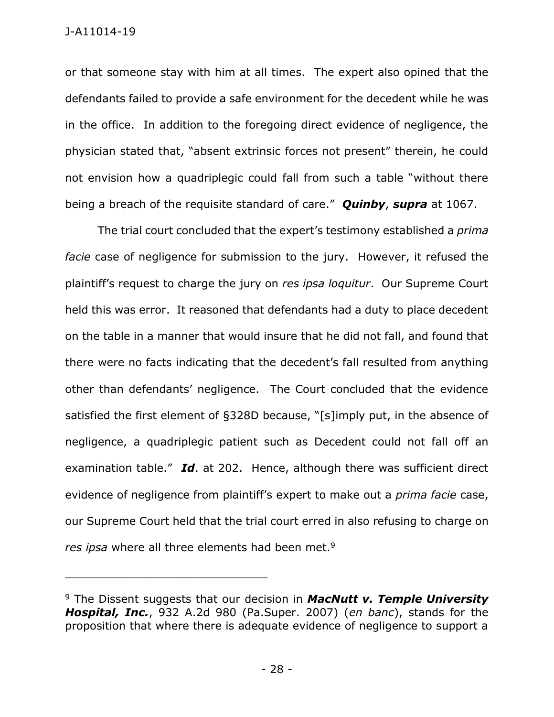or that someone stay with him at all times. The expert also opined that the defendants failed to provide a safe environment for the decedent while he was in the office. In addition to the foregoing direct evidence of negligence, the physician stated that, "absent extrinsic forces not present" therein, he could not envision how a quadriplegic could fall from such a table "without there being a breach of the requisite standard of care." *Quinby*, *supra* at 1067.

The trial court concluded that the expert's testimony established a *prima facie* case of negligence for submission to the jury. However, it refused the plaintiff's request to charge the jury on *res ipsa loquitur*. Our Supreme Court held this was error. It reasoned that defendants had a duty to place decedent on the table in a manner that would insure that he did not fall, and found that there were no facts indicating that the decedent's fall resulted from anything other than defendants' negligence. The Court concluded that the evidence satisfied the first element of §328D because, "[s]imply put, in the absence of negligence, a quadriplegic patient such as Decedent could not fall off an examination table." *Id*. at 202. Hence, although there was sufficient direct evidence of negligence from plaintiff's expert to make out a *prima facie* case, our Supreme Court held that the trial court erred in also refusing to charge on *res ipsa* where all three elements had been met.<sup>9</sup>

<sup>9</sup> The Dissent suggests that our decision in *MacNutt v. Temple University Hospital, Inc.*, 932 A.2d 980 (Pa.Super. 2007) (*en banc*), stands for the proposition that where there is adequate evidence of negligence to support a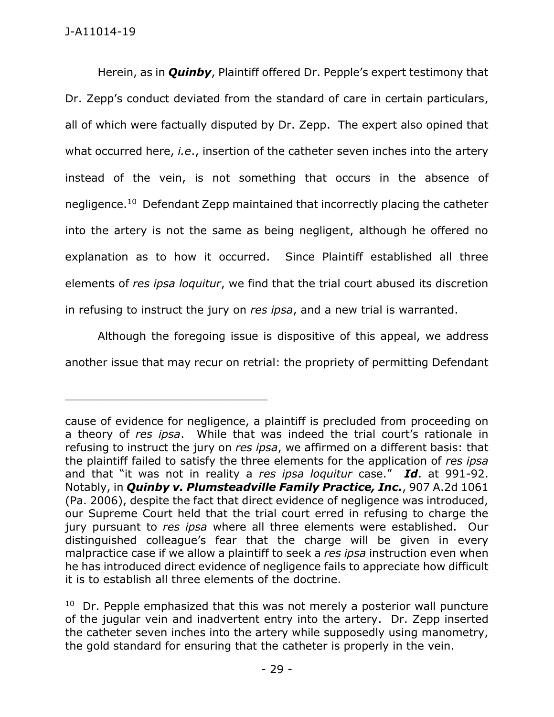Herein, as in *Quinby*, Plaintiff offered Dr. Pepple's expert testimony that Dr. Zepp's conduct deviated from the standard of care in certain particulars, all of which were factually disputed by Dr. Zepp. The expert also opined that what occurred here, *i.e*., insertion of the catheter seven inches into the artery instead of the vein, is not something that occurs in the absence of negligence.<sup>10</sup> Defendant Zepp maintained that incorrectly placing the catheter into the artery is not the same as being negligent, although he offered no explanation as to how it occurred. Since Plaintiff established all three elements of *res ipsa loquitur*, we find that the trial court abused its discretion in refusing to instruct the jury on *res ipsa*, and a new trial is warranted.

Although the foregoing issue is dispositive of this appeal, we address another issue that may recur on retrial: the propriety of permitting Defendant

cause of evidence for negligence, a plaintiff is precluded from proceeding on a theory of *res ipsa*. While that was indeed the trial court's rationale in refusing to instruct the jury on *res ipsa*, we affirmed on a different basis: that the plaintiff failed to satisfy the three elements for the application of *res ipsa* and that "it was not in reality a *res ipsa loquitur* case." *Id*. at 991-92. Notably, in *Quinby v. Plumsteadville Family Practice, Inc.*, 907 A.2d 1061 (Pa. 2006), despite the fact that direct evidence of negligence was introduced, our Supreme Court held that the trial court erred in refusing to charge the jury pursuant to *res ipsa* where all three elements were established. Our distinguished colleague's fear that the charge will be given in every malpractice case if we allow a plaintiff to seek a *res ipsa* instruction even when he has introduced direct evidence of negligence fails to appreciate how difficult it is to establish all three elements of the doctrine.

<sup>&</sup>lt;sup>10</sup> Dr. Pepple emphasized that this was not merely a posterior wall puncture of the jugular vein and inadvertent entry into the artery. Dr. Zepp inserted the catheter seven inches into the artery while supposedly using manometry, the gold standard for ensuring that the catheter is properly in the vein.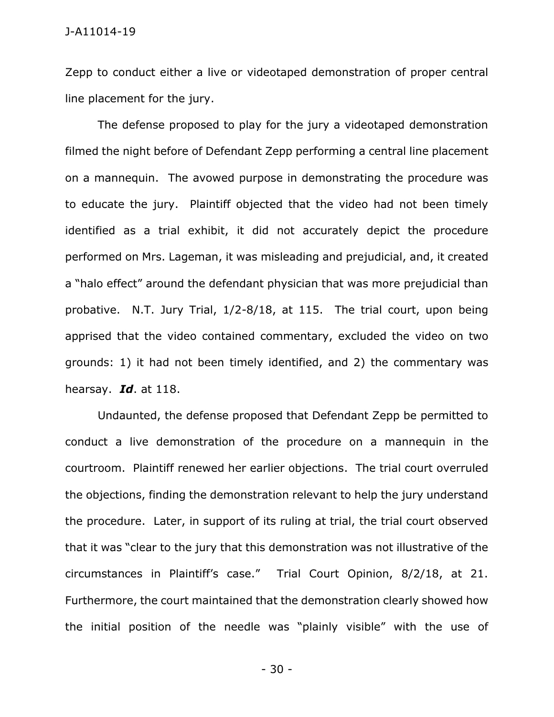Zepp to conduct either a live or videotaped demonstration of proper central line placement for the jury.

The defense proposed to play for the jury a videotaped demonstration filmed the night before of Defendant Zepp performing a central line placement on a mannequin. The avowed purpose in demonstrating the procedure was to educate the jury. Plaintiff objected that the video had not been timely identified as a trial exhibit, it did not accurately depict the procedure performed on Mrs. Lageman, it was misleading and prejudicial, and, it created a "halo effect" around the defendant physician that was more prejudicial than probative. N.T. Jury Trial, 1/2-8/18, at 115. The trial court, upon being apprised that the video contained commentary, excluded the video on two grounds: 1) it had not been timely identified, and 2) the commentary was hearsay. *Id*. at 118.

Undaunted, the defense proposed that Defendant Zepp be permitted to conduct a live demonstration of the procedure on a mannequin in the courtroom. Plaintiff renewed her earlier objections. The trial court overruled the objections, finding the demonstration relevant to help the jury understand the procedure. Later, in support of its ruling at trial, the trial court observed that it was "clear to the jury that this demonstration was not illustrative of the circumstances in Plaintiff's case." Trial Court Opinion, 8/2/18, at 21. Furthermore, the court maintained that the demonstration clearly showed how the initial position of the needle was "plainly visible" with the use of

- 30 -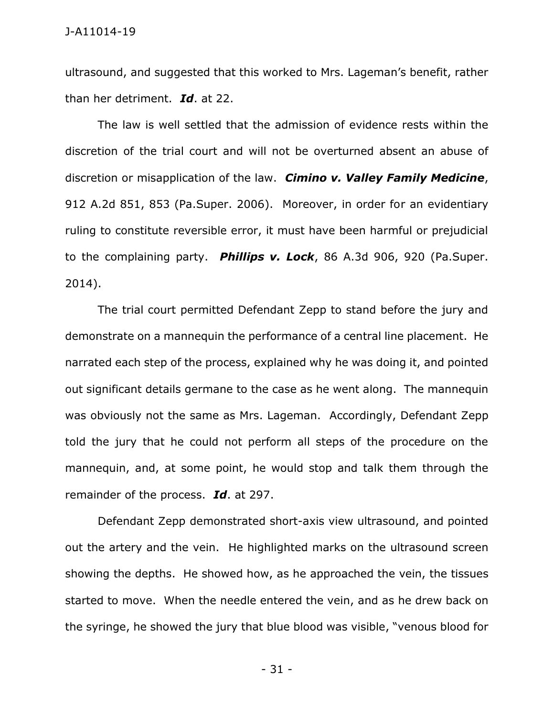ultrasound, and suggested that this worked to Mrs. Lageman's benefit, rather than her detriment. *Id*. at 22.

The law is well settled that the admission of evidence rests within the discretion of the trial court and will not be overturned absent an abuse of discretion or misapplication of the law. *Cimino v. Valley Family Medicine*, 912 A.2d 851, 853 (Pa.Super. 2006). Moreover, in order for an evidentiary ruling to constitute reversible error, it must have been harmful or prejudicial to the complaining party. *Phillips v. Lock*, 86 A.3d 906, 920 (Pa.Super. 2014).

The trial court permitted Defendant Zepp to stand before the jury and demonstrate on a mannequin the performance of a central line placement. He narrated each step of the process, explained why he was doing it, and pointed out significant details germane to the case as he went along. The mannequin was obviously not the same as Mrs. Lageman. Accordingly, Defendant Zepp told the jury that he could not perform all steps of the procedure on the mannequin, and, at some point, he would stop and talk them through the remainder of the process. *Id*. at 297.

Defendant Zepp demonstrated short-axis view ultrasound, and pointed out the artery and the vein. He highlighted marks on the ultrasound screen showing the depths. He showed how, as he approached the vein, the tissues started to move. When the needle entered the vein, and as he drew back on the syringe, he showed the jury that blue blood was visible, "venous blood for

- 31 -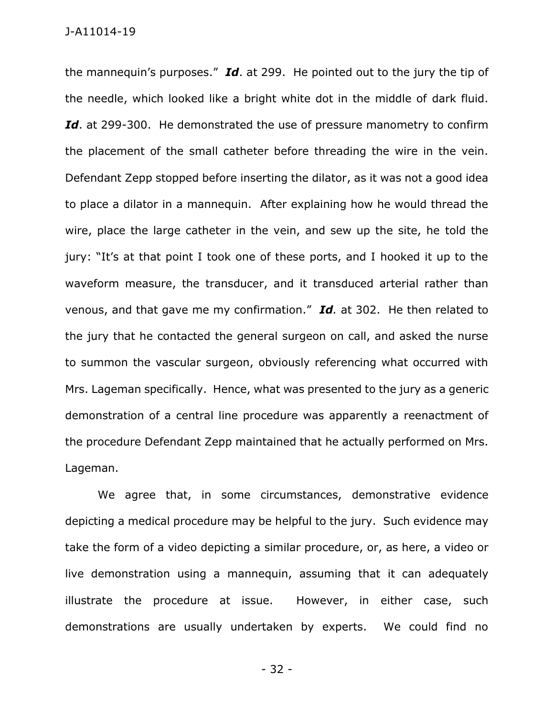the mannequin's purposes." *Id*. at 299. He pointed out to the jury the tip of the needle, which looked like a bright white dot in the middle of dark fluid. Id. at 299-300. He demonstrated the use of pressure manometry to confirm the placement of the small catheter before threading the wire in the vein. Defendant Zepp stopped before inserting the dilator, as it was not a good idea to place a dilator in a mannequin. After explaining how he would thread the wire, place the large catheter in the vein, and sew up the site, he told the jury: "It's at that point I took one of these ports, and I hooked it up to the waveform measure, the transducer, and it transduced arterial rather than venous, and that gave me my confirmation." *Id.* at 302. He then related to the jury that he contacted the general surgeon on call, and asked the nurse to summon the vascular surgeon, obviously referencing what occurred with Mrs. Lageman specifically. Hence, what was presented to the jury as a generic demonstration of a central line procedure was apparently a reenactment of the procedure Defendant Zepp maintained that he actually performed on Mrs. Lageman.

We agree that, in some circumstances, demonstrative evidence depicting a medical procedure may be helpful to the jury. Such evidence may take the form of a video depicting a similar procedure, or, as here, a video or live demonstration using a mannequin, assuming that it can adequately illustrate the procedure at issue. However, in either case, such demonstrations are usually undertaken by experts. We could find no

- 32 -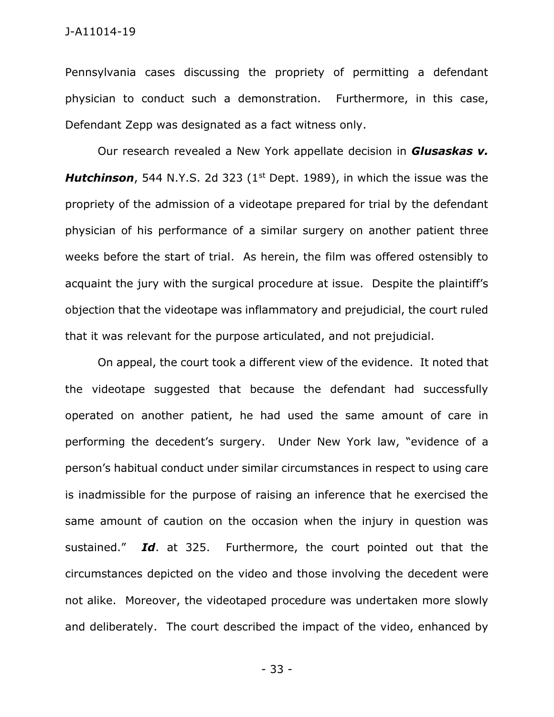Pennsylvania cases discussing the propriety of permitting a defendant physician to conduct such a demonstration. Furthermore, in this case, Defendant Zepp was designated as a fact witness only.

Our research revealed a New York appellate decision in *Glusaskas v. Hutchinson*, 544 N.Y.S. 2d 323 (1<sup>st</sup> Dept. 1989), in which the issue was the propriety of the admission of a videotape prepared for trial by the defendant physician of his performance of a similar surgery on another patient three weeks before the start of trial. As herein, the film was offered ostensibly to acquaint the jury with the surgical procedure at issue. Despite the plaintiff's objection that the videotape was inflammatory and prejudicial, the court ruled that it was relevant for the purpose articulated, and not prejudicial.

On appeal, the court took a different view of the evidence. It noted that the videotape suggested that because the defendant had successfully operated on another patient, he had used the same amount of care in performing the decedent's surgery. Under New York law, "evidence of a person's habitual conduct under similar circumstances in respect to using care is inadmissible for the purpose of raising an inference that he exercised the same amount of caution on the occasion when the injury in question was sustained." *Id*. at 325. Furthermore, the court pointed out that the circumstances depicted on the video and those involving the decedent were not alike. Moreover, the videotaped procedure was undertaken more slowly and deliberately. The court described the impact of the video, enhanced by

- 33 -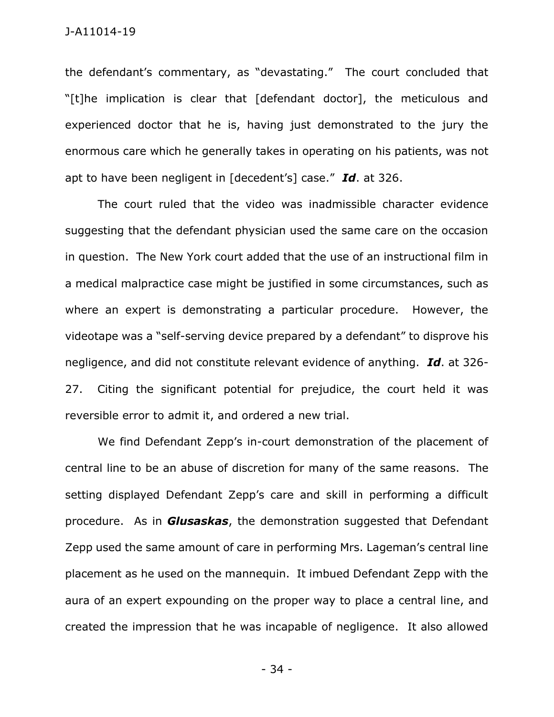the defendant's commentary, as "devastating." The court concluded that "[t]he implication is clear that [defendant doctor], the meticulous and experienced doctor that he is, having just demonstrated to the jury the enormous care which he generally takes in operating on his patients, was not apt to have been negligent in [decedent's] case." *Id*. at 326.

The court ruled that the video was inadmissible character evidence suggesting that the defendant physician used the same care on the occasion in question. The New York court added that the use of an instructional film in a medical malpractice case might be justified in some circumstances, such as where an expert is demonstrating a particular procedure. However, the videotape was a "self-serving device prepared by a defendant" to disprove his negligence, and did not constitute relevant evidence of anything. *Id*. at 326- 27. Citing the significant potential for prejudice, the court held it was reversible error to admit it, and ordered a new trial.

We find Defendant Zepp's in-court demonstration of the placement of central line to be an abuse of discretion for many of the same reasons. The setting displayed Defendant Zepp's care and skill in performing a difficult procedure. As in *Glusaskas*, the demonstration suggested that Defendant Zepp used the same amount of care in performing Mrs. Lageman's central line placement as he used on the mannequin. It imbued Defendant Zepp with the aura of an expert expounding on the proper way to place a central line, and created the impression that he was incapable of negligence. It also allowed

- 34 -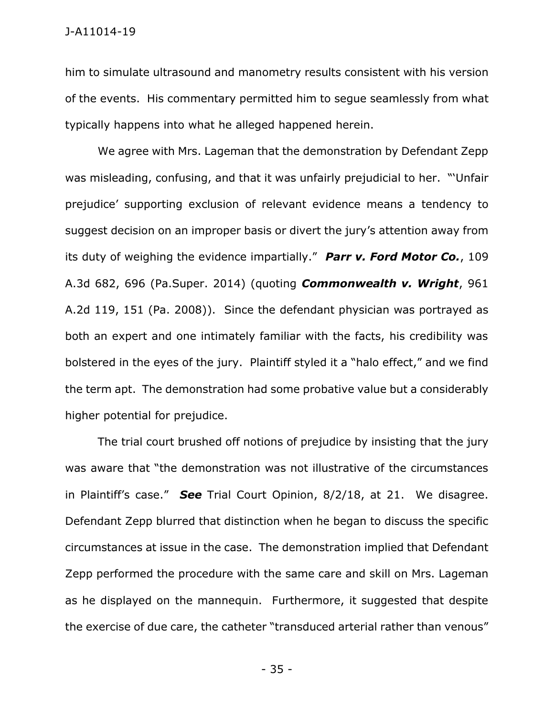him to simulate ultrasound and manometry results consistent with his version of the events. His commentary permitted him to segue seamlessly from what typically happens into what he alleged happened herein.

We agree with Mrs. Lageman that the demonstration by Defendant Zepp was misleading, confusing, and that it was unfairly prejudicial to her. "'Unfair prejudice' supporting exclusion of relevant evidence means a tendency to suggest decision on an improper basis or divert the jury's attention away from its duty of weighing the evidence impartially." *Parr v. Ford Motor Co.*, 109 A.3d 682, 696 (Pa.Super. 2014) (quoting *Commonwealth v. Wright*, 961 A.2d 119, 151 (Pa. 2008)). Since the defendant physician was portrayed as both an expert and one intimately familiar with the facts, his credibility was bolstered in the eyes of the jury. Plaintiff styled it a "halo effect," and we find the term apt. The demonstration had some probative value but a considerably higher potential for prejudice.

The trial court brushed off notions of prejudice by insisting that the jury was aware that "the demonstration was not illustrative of the circumstances in Plaintiff's case." *See* Trial Court Opinion, 8/2/18, at 21. We disagree. Defendant Zepp blurred that distinction when he began to discuss the specific circumstances at issue in the case. The demonstration implied that Defendant Zepp performed the procedure with the same care and skill on Mrs. Lageman as he displayed on the mannequin. Furthermore, it suggested that despite the exercise of due care, the catheter "transduced arterial rather than venous"

- 35 -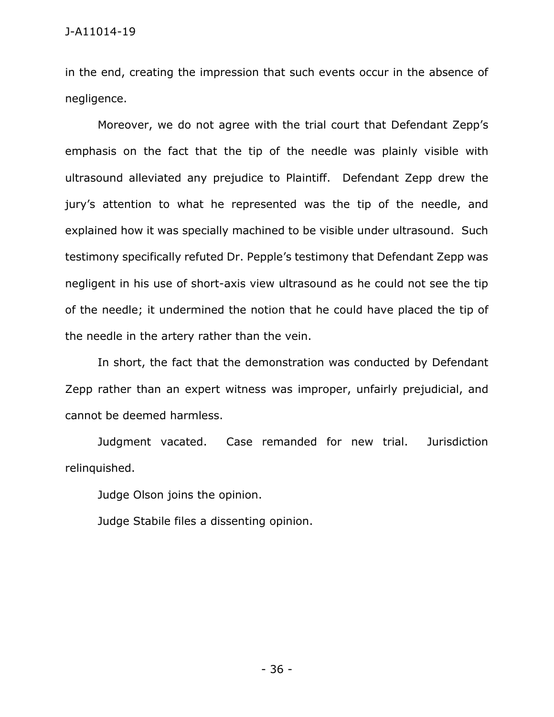in the end, creating the impression that such events occur in the absence of negligence.

Moreover, we do not agree with the trial court that Defendant Zepp's emphasis on the fact that the tip of the needle was plainly visible with ultrasound alleviated any prejudice to Plaintiff. Defendant Zepp drew the jury's attention to what he represented was the tip of the needle, and explained how it was specially machined to be visible under ultrasound. Such testimony specifically refuted Dr. Pepple's testimony that Defendant Zepp was negligent in his use of short-axis view ultrasound as he could not see the tip of the needle; it undermined the notion that he could have placed the tip of the needle in the artery rather than the vein.

In short, the fact that the demonstration was conducted by Defendant Zepp rather than an expert witness was improper, unfairly prejudicial, and cannot be deemed harmless.

Judgment vacated. Case remanded for new trial. Jurisdiction relinquished.

Judge Olson joins the opinion.

Judge Stabile files a dissenting opinion.